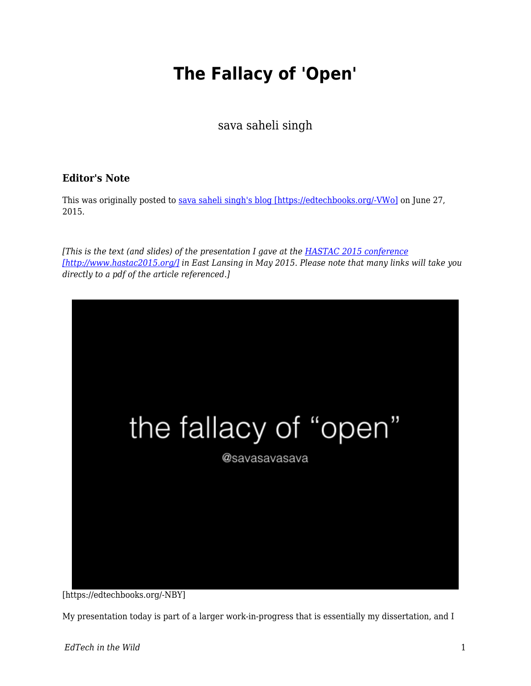## **The Fallacy of 'Open'**

sava saheli singh

## **Editor's Note**

This was originally posted to [sava saheli singh's blog \[https://edtechbooks.org/-VWo\]](https://savasavasava.wordpress.com/2015/06/27/the-fallacy-of-open/) on June 27, 2015.

*[This is the text (and slides) of the presentation I gave at the [HASTAC 2015 conference](http://www.hastac2015.org/) [\[http://www.hastac2015.org/\]](http://www.hastac2015.org/) in East Lansing in May 2015. Please note that many links will take you directly to a pdf of the article referenced.]*



[https://edtechbooks.org/-NBY]

My presentation today is part of a larger work-in-progress that is essentially my dissertation, and I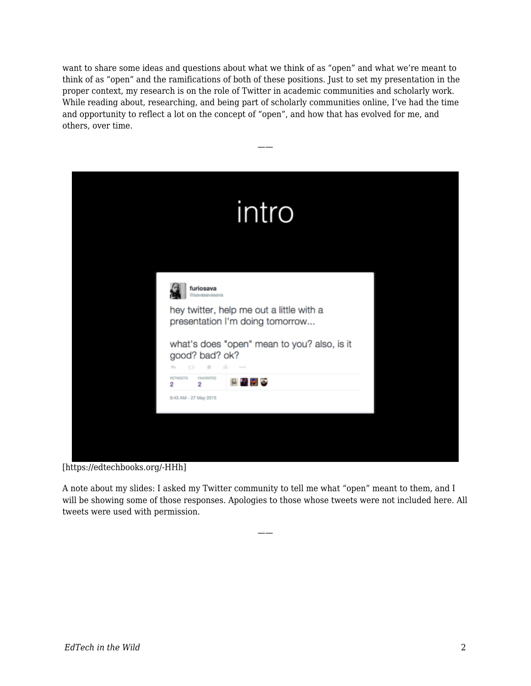want to share some ideas and questions about what we think of as "open" and what we're meant to think of as "open" and the ramifications of both of these positions. Just to set my presentation in the proper context, my research is on the role of Twitter in academic communities and scholarly work. While reading about, researching, and being part of scholarly communities online, I've had the time and opportunity to reflect a lot on the concept of "open", and how that has evolved for me, and others, over time.

——

| intro                                                                                                                                                                                                             |  |
|-------------------------------------------------------------------------------------------------------------------------------------------------------------------------------------------------------------------|--|
| furiosava<br>Gsavasavasava<br>hey twitter, help me out a little with a<br>presentation I'm doing tomorrow<br>what's does "open" mean to you? also, is it<br>good? bad? ok?<br>dГ.<br>$-20.00 - 10.00$<br>ŧЗ.<br>÷ |  |
| <b>FAVORITES</b><br><b>RETWEETS</b><br>$9$ D D $\alpha$<br>2<br>2<br>9:43 AM - 27 May 2015                                                                                                                        |  |

[https://edtechbooks.org/-HHh]

A note about my slides: I asked my Twitter community to tell me what "open" meant to them, and I will be showing some of those responses. Apologies to those whose tweets were not included here. All tweets were used with permission.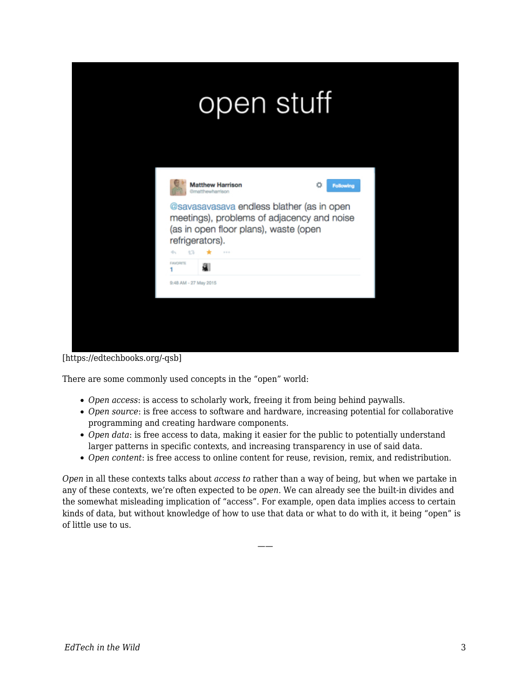|                                                                                         | open stuff                                                                                                                                 |                |
|-----------------------------------------------------------------------------------------|--------------------------------------------------------------------------------------------------------------------------------------------|----------------|
| <b>Matthew Harrison</b><br><b>Gmatthewharrison</b><br>refrigerators).<br>÷.<br>÷3.<br>÷ | @savasavasava endless blather (as in open<br>meetings), problems of adjacency and noise<br>(as in open floor plans), waste (open<br>$-1.1$ | n<br>Following |
| <b>FAVORITE</b><br>a<br>9:48 AM - 27 May 2015                                           |                                                                                                                                            |                |

[https://edtechbooks.org/-qsb]

There are some commonly used concepts in the "open" world:

- *Open access*: is access to scholarly work, freeing it from being behind paywalls.
- *Open source*: is free access to software and hardware, increasing potential for collaborative programming and creating hardware components.
- *Open data*: is free access to data, making it easier for the public to potentially understand larger patterns in specific contexts, and increasing transparency in use of said data.
- *Open content*: is free access to online content for reuse, revision, remix, and redistribution.

*Open* in all these contexts talks about *access to* rather than a way of being, but when we partake in any of these contexts, we're often expected to be *open*. We can already see the built-in divides and the somewhat misleading implication of "access". For example, open data implies access to certain kinds of data, but without knowledge of how to use that data or what to do with it, it being "open" is of little use to us.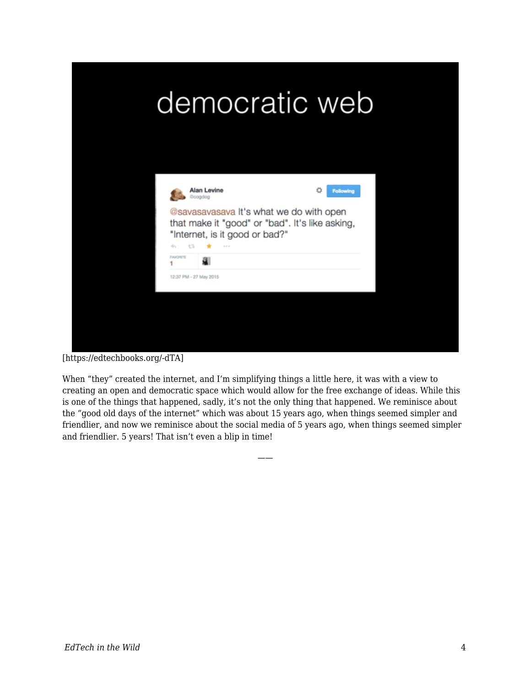

[https://edtechbooks.org/-dTA]

When "they" created the internet, and I'm simplifying things a little here, it was with a view to creating an open and democratic space which would allow for the free exchange of ideas. While this is one of the things that happened, sadly, it's not the only thing that happened. We reminisce about the "good old days of the internet" which was about 15 years ago, when things seemed simpler and friendlier, and now we reminisce about the social media of 5 years ago, when things seemed simpler and friendlier. 5 years! That isn't even a blip in time!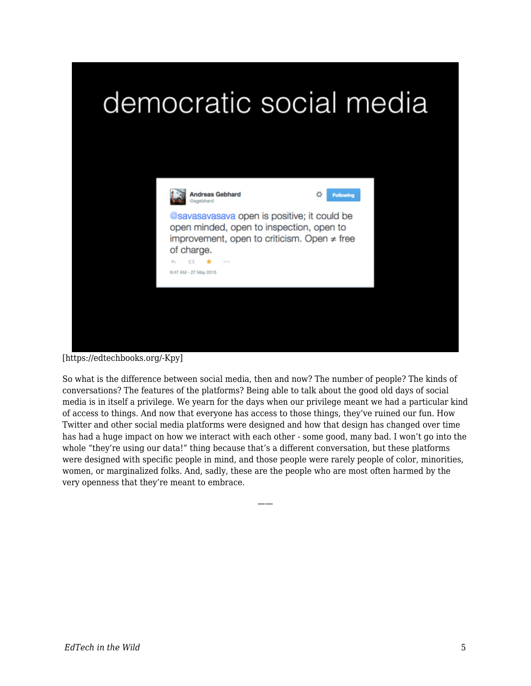



[https://edtechbooks.org/-Kpy]

So what is the difference between social media, then and now? The number of people? The kinds of conversations? The features of the platforms? Being able to talk about the good old days of social media is in itself a privilege. We yearn for the days when our privilege meant we had a particular kind of access to things. And now that everyone has access to those things, they've ruined our fun. How Twitter and other social media platforms were designed and how that design has changed over time has had a huge impact on how we interact with each other - some good, many bad. I won't go into the whole "they're using our data!" thing because that's a different conversation, but these platforms were designed with specific people in mind, and those people were rarely people of color, minorities, women, or marginalized folks. And, sadly, these are the people who are most often harmed by the very openness that they're meant to embrace.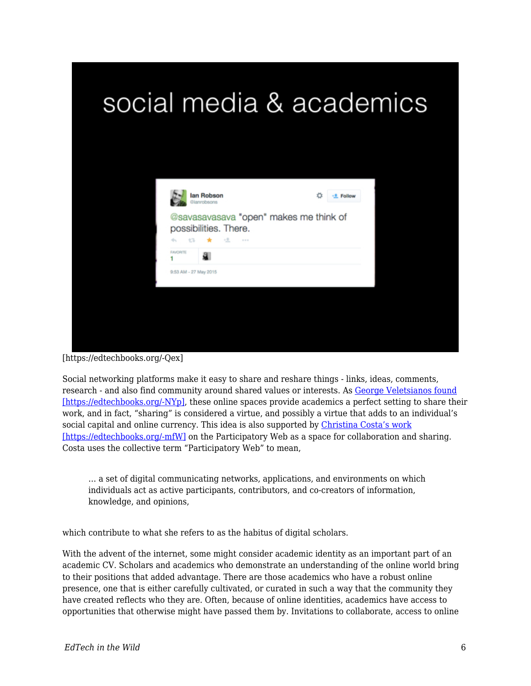

[https://edtechbooks.org/-Qex]

Social networking platforms make it easy to share and reshare things - links, ideas, comments, research - and also find community around shared values or interests. As [George Veletsianos found](http://www.veletsianos.com/wp-content/uploads/2013/12/veletsianos_open_practices_and_identity.pdf) [\[https://edtechbooks.org/-NYp\],](http://www.veletsianos.com/wp-content/uploads/2013/12/veletsianos_open_practices_and_identity.pdf) these online spaces provide academics a perfect setting to share their work, and in fact, "sharing" is considered a virtue, and possibly a virtue that adds to an individual's social capital and online currency. This idea is also supported by [Christina Costa's work](http://journals.co-action.net/index.php/rlt/article/view/21274) [\[https://edtechbooks.org/-mfW\]](http://journals.co-action.net/index.php/rlt/article/view/21274) on the Participatory Web as a space for collaboration and sharing. Costa uses the collective term "Participatory Web" to mean,

… a set of digital communicating networks, applications, and environments on which individuals act as active participants, contributors, and co-creators of information, knowledge, and opinions,

which contribute to what she refers to as the habitus of digital scholars.

With the advent of the internet, some might consider academic identity as an important part of an academic CV. Scholars and academics who demonstrate an understanding of the online world bring to their positions that added advantage. There are those academics who have a robust online presence, one that is either carefully cultivated, or curated in such a way that the community they have created reflects who they are. Often, because of online identities, academics have access to opportunities that otherwise might have passed them by. Invitations to collaborate, access to online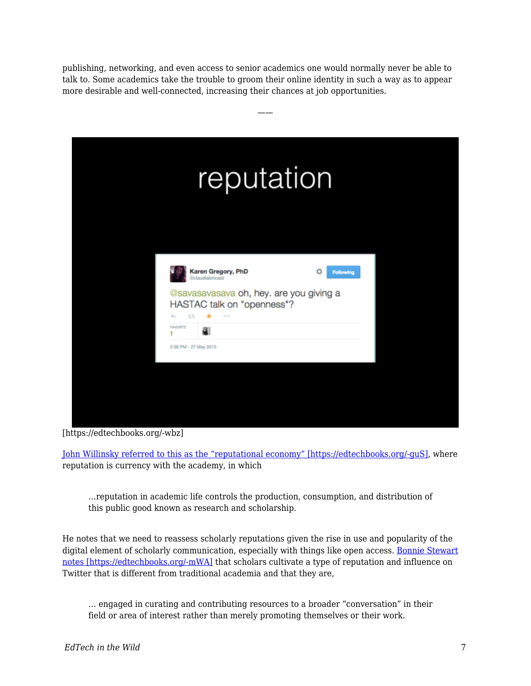publishing, networking, and even access to senior academics one would normally never be able to talk to. Some academics take the trouble to groom their online identity in such a way as to appear more desirable and well-connected, increasing their chances at job opportunities.

——



[https://edtechbooks.org/-wbz]

[John Willinsky referred to this as the "reputational economy" \[https://edtechbooks.org/-guS\],](http://nopr.niscair.res.in/bitstream/123456789/10242/4/ALIS%2057%283%29%20296-302.pdf) where reputation is currency with the academy, in which

…reputation in academic life controls the production, consumption, and distribution of this public good known as research and scholarship.

He notes that we need to reassess scholarly reputations given the rise in use and popularity of the digital element of scholarly communication, especially with things like open access. [Bonnie Stewart](http://theory.cribchronicles.com/Open%20to%20Influence%20Pre-print.pdf) [notes \[https://edtechbooks.org/-mWA\]](http://theory.cribchronicles.com/Open%20to%20Influence%20Pre-print.pdf) that scholars cultivate a type of reputation and influence on Twitter that is different from traditional academia and that they are,

… engaged in curating and contributing resources to a broader "conversation" in their field or area of interest rather than merely promoting themselves or their work.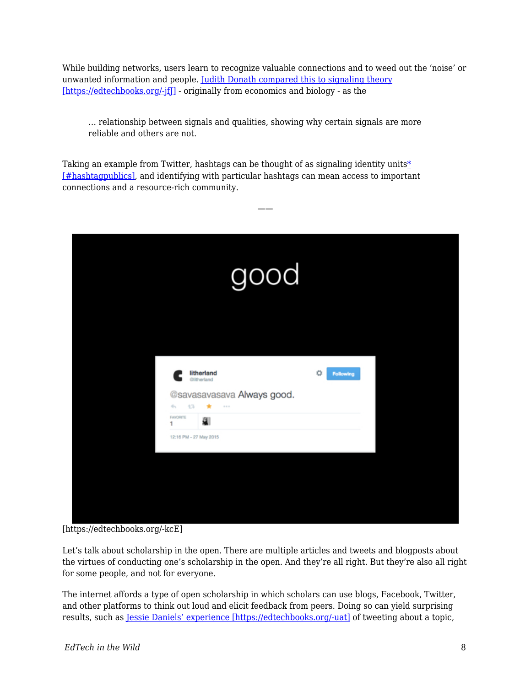While building networks, users learn to recognize valuable connections and to weed out the 'noise' or unwanted information and people. [Judith Donath compared this to signaling theory](http://onlinelibrary.wiley.com/doi/10.1111/j.1083-6101.2007.00394.x/full) [https://edtechbooks.org/-jf]] - originally from economics and biology - as the

——

… relationship between signals and qualities, showing why certain signals are more reliable and others are not.

Taking an example from Twitter, hashtags can be thought of as signaling identity units $*$ [\[#hashtagpublics\],](#page--1-0) and identifying with particular hashtags can mean access to important connections and a resource-rich community.

[https://edtechbooks.org/-kcE]

Let's talk about scholarship in the open. There are multiple articles and tweets and blogposts about the virtues of conducting one's scholarship in the open. And they're all right. But they're also all right for some people, and not for everyone.

The internet affords a type of open scholarship in which scholars can use blogs, Facebook, Twitter, and other platforms to think out loud and elicit feedback from peers. Doing so can yield surprising results, such as [Jessie Daniels' experience \[https://edtechbooks.org/-uat\]](http://blogs.lse.ac.uk/impactofsocialsciences/2013/09/25/how-to-be-a-scholar-daniels/) of tweeting about a topic,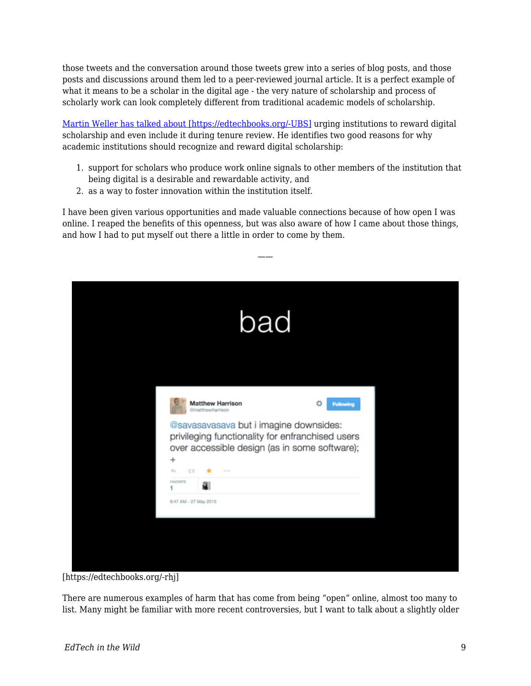those tweets and the conversation around those tweets grew into a series of blog posts, and those posts and discussions around them led to a peer-reviewed journal article. It is a perfect example of what it means to be a scholar in the digital age - the very nature of scholarship and process of scholarly work can look completely different from traditional academic models of scholarship.

[Martin Weller has talked about \[https://edtechbooks.org/-UBS\]](http://elcrps.uoc.edu/index.php/rusc/article/viewFile/v9n2-rubio/v9n2-dossier-eng#page=89) urging institutions to reward digital scholarship and even include it during tenure review. He identifies two good reasons for why academic institutions should recognize and reward digital scholarship:

- 1. support for scholars who produce work online signals to other members of the institution that being digital is a desirable and rewardable activity, and
- 2. as a way to foster innovation within the institution itself.

I have been given various opportunities and made valuable connections because of how open I was online. I reaped the benefits of this openness, but was also aware of how I came about those things, and how I had to put myself out there a little in order to come by them.

——

| bad                                                                                                                                                                                                                                                   |                       |  |
|-------------------------------------------------------------------------------------------------------------------------------------------------------------------------------------------------------------------------------------------------------|-----------------------|--|
| <b>Matthew Harrison</b><br><b>Gmatthewharrison</b><br>@savasavasava but i imagine downsides:<br>privileging functionality for enfranchised users<br>over accessible design (as in some software);<br>$^{+}$<br>÷<br>17<br>$\alpha \rightarrow \infty$ | ο<br><b>Following</b> |  |
| <b>FAVORITE</b><br>a<br>9:47 AM - 27 May 2015                                                                                                                                                                                                         |                       |  |

[https://edtechbooks.org/-rhj]

There are numerous examples of harm that has come from being "open" online, almost too many to list. Many might be familiar with more recent controversies, but I want to talk about a slightly older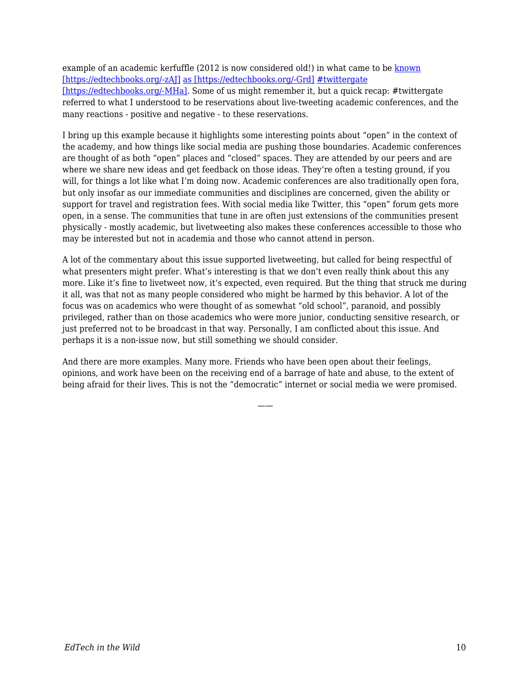example of an academic kerfuffle (2012 is now considered old!) in what came to be [known](http://tressiemc.com/2012/09/30/an-idea-is-a-dangerous-thing-to-quarantine-twittergate/) [\[https://edtechbooks.org/-zAJ\]](http://tressiemc.com/2012/09/30/an-idea-is-a-dangerous-thing-to-quarantine-twittergate/) [as \[https://edtechbooks.org/-Grd\]](http://www.hastac.org/blogs/amanda-starling-gould/2012/10/01/twittergate-etiquette-and-ethic-live-tweeting-conference-or-l) [#twittergate](http://www.emory.edu/ACAD_EXCHANGE/whats_new/roopikatweetingconferences.html) [\[https://edtechbooks.org/-MHa\].](http://www.emory.edu/ACAD_EXCHANGE/whats_new/roopikatweetingconferences.html) Some of us might remember it, but a quick recap: #twittergate referred to what I understood to be reservations about live-tweeting academic conferences, and the many reactions - positive and negative - to these reservations.

I bring up this example because it highlights some interesting points about "open" in the context of the academy, and how things like social media are pushing those boundaries. Academic conferences are thought of as both "open" places and "closed" spaces. They are attended by our peers and are where we share new ideas and get feedback on those ideas. They're often a testing ground, if you will, for things a lot like what I'm doing now. Academic conferences are also traditionally open fora, but only insofar as our immediate communities and disciplines are concerned, given the ability or support for travel and registration fees. With social media like Twitter, this "open" forum gets more open, in a sense. The communities that tune in are often just extensions of the communities present physically - mostly academic, but livetweeting also makes these conferences accessible to those who may be interested but not in academia and those who cannot attend in person.

A lot of the commentary about this issue supported livetweeting, but called for being respectful of what presenters might prefer. What's interesting is that we don't even really think about this any more. Like it's fine to livetweet now, it's expected, even required. But the thing that struck me during it all, was that not as many people considered who might be harmed by this behavior. A lot of the focus was on academics who were thought of as somewhat "old school", paranoid, and possibly privileged, rather than on those academics who were more junior, conducting sensitive research, or just preferred not to be broadcast in that way. Personally, I am conflicted about this issue. And perhaps it is a non-issue now, but still something we should consider.

And there are more examples. Many more. Friends who have been open about their feelings, opinions, and work have been on the receiving end of a barrage of hate and abuse, to the extent of being afraid for their lives. This is not the "democratic" internet or social media we were promised.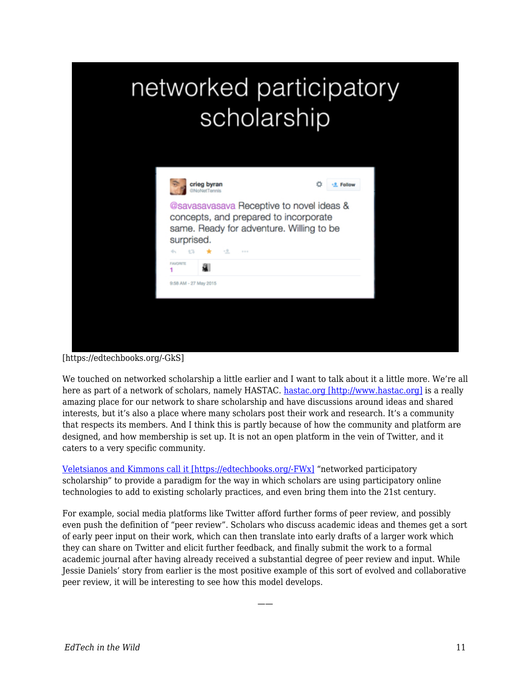## networked participatory scholarship

| @savasavasava Receptive to novel ideas &<br>concepts, and prepared to incorporate<br>same. Ready for adventure. Willing to be<br>surprised. |
|---------------------------------------------------------------------------------------------------------------------------------------------|
|                                                                                                                                             |
| $-2.5$<br>七飞<br>÷.<br>$-2.1$<br><b>FAVORITE</b>                                                                                             |
|                                                                                                                                             |

[https://edtechbooks.org/-GkS]

We touched on networked scholarship a little earlier and I want to talk about it a little more. We're all here as part of a network of scholars, namely HASTAC. [hastac.org \[http://www.hastac.org\]](http://www.hastac.org) is a really amazing place for our network to share scholarship and have discussions around ideas and shared interests, but it's also a place where many scholars post their work and research. It's a community that respects its members. And I think this is partly because of how the community and platform are designed, and how membership is set up. It is not an open platform in the vein of Twitter, and it caters to a very specific community.

[Veletsianos and Kimmons call it \[https://edtechbooks.org/-FWx\]](http://www.veletsianos.com/wp-content/uploads/2011/11/NPS_final_published.pdf) "networked participatory scholarship" to provide a paradigm for the way in which scholars are using participatory online technologies to add to existing scholarly practices, and even bring them into the 21st century.

For example, social media platforms like Twitter afford further forms of peer review, and possibly even push the definition of "peer review". Scholars who discuss academic ideas and themes get a sort of early peer input on their work, which can then translate into early drafts of a larger work which they can share on Twitter and elicit further feedback, and finally submit the work to a formal academic journal after having already received a substantial degree of peer review and input. While Jessie Daniels' story from earlier is the most positive example of this sort of evolved and collaborative peer review, it will be interesting to see how this model develops.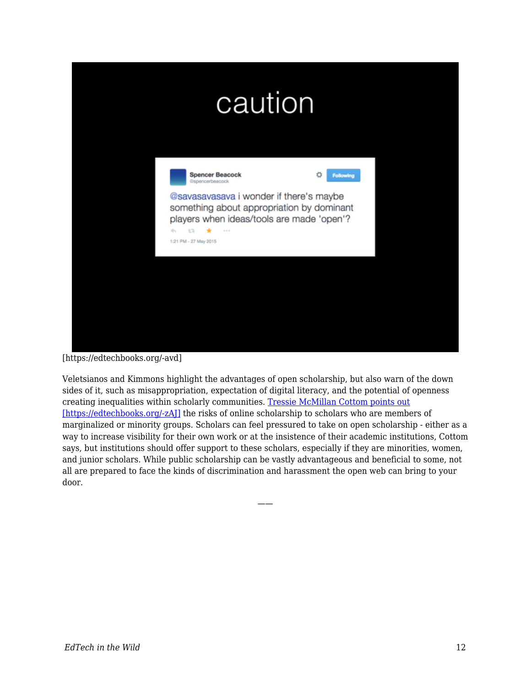[https://edtechbooks.org/-avd]

Veletsianos and Kimmons highlight the advantages of open scholarship, but also warn of the down sides of it, such as misappropriation, expectation of digital literacy, and the potential of openness creating inequalities within scholarly communities. [Tressie McMillan Cottom points out](http://tressiemc.com/2012/09/30/an-idea-is-a-dangerous-thing-to-quarantine-twittergate/) [https://edtechbooks.org/-zA]] the risks of online scholarship to scholars who are members of marginalized or minority groups. Scholars can feel pressured to take on open scholarship - either as a way to increase visibility for their own work or at the insistence of their academic institutions, Cottom says, but institutions should offer support to these scholars, especially if they are minorities, women, and junior scholars. While public scholarship can be vastly advantageous and beneficial to some, not all are prepared to face the kinds of discrimination and harassment the open web can bring to your door.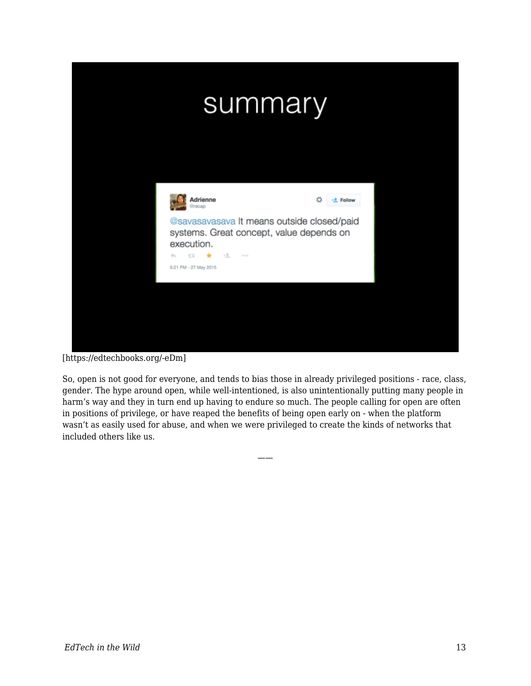

[https://edtechbooks.org/-eDm]

So, open is not good for everyone, and tends to bias those in already privileged positions - race, class, gender. The hype around open, while well-intentioned, is also unintentionally putting many people in harm's way and they in turn end up having to endure so much. The people calling for open are often in positions of privilege, or have reaped the benefits of being open early on - when the platform wasn't as easily used for abuse, and when we were privileged to create the kinds of networks that included others like us.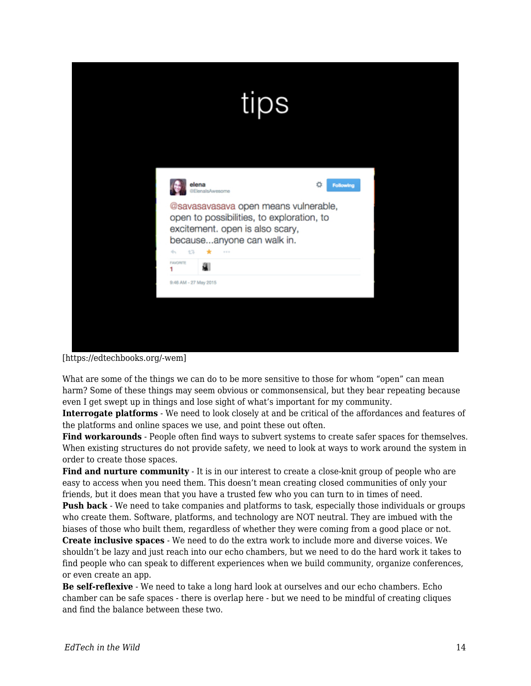|                                                                                                                                                                                                           | tips             |  |
|-----------------------------------------------------------------------------------------------------------------------------------------------------------------------------------------------------------|------------------|--|
| elena<br>ElenalsAwesome<br>@savasavasava open means vulnerable,<br>open to possibilities, to exploration, to<br>excitement. open is also scary,<br>becauseanyone can walk in.<br>13<br>÷<br>÷.<br>$-2.22$ | <b>Following</b> |  |
| <b>FAVORITE</b><br>a.<br>9:46 AM - 27 May 2015                                                                                                                                                            |                  |  |

[https://edtechbooks.org/-wem]

What are some of the things we can do to be more sensitive to those for whom "open" can mean harm? Some of these things may seem obvious or commonsensical, but they bear repeating because even I get swept up in things and lose sight of what's important for my community.

**Interrogate platforms** - We need to look closely at and be critical of the affordances and features of the platforms and online spaces we use, and point these out often.

**Find workarounds** - People often find ways to subvert systems to create safer spaces for themselves. When existing structures do not provide safety, we need to look at ways to work around the system in order to create those spaces.

Find and nurture community - It is in our interest to create a close-knit group of people who are easy to access when you need them. This doesn't mean creating closed communities of only your friends, but it does mean that you have a trusted few who you can turn to in times of need.

**Push back** - We need to take companies and platforms to task, especially those individuals or groups who create them. Software, platforms, and technology are NOT neutral. They are imbued with the biases of those who built them, regardless of whether they were coming from a good place or not.

**Create inclusive spaces** - We need to do the extra work to include more and diverse voices. We shouldn't be lazy and just reach into our echo chambers, but we need to do the hard work it takes to find people who can speak to different experiences when we build community, organize conferences, or even create an app.

**Be self-reflexive** - We need to take a long hard look at ourselves and our echo chambers. Echo chamber can be safe spaces - there is overlap here - but we need to be mindful of creating cliques and find the balance between these two.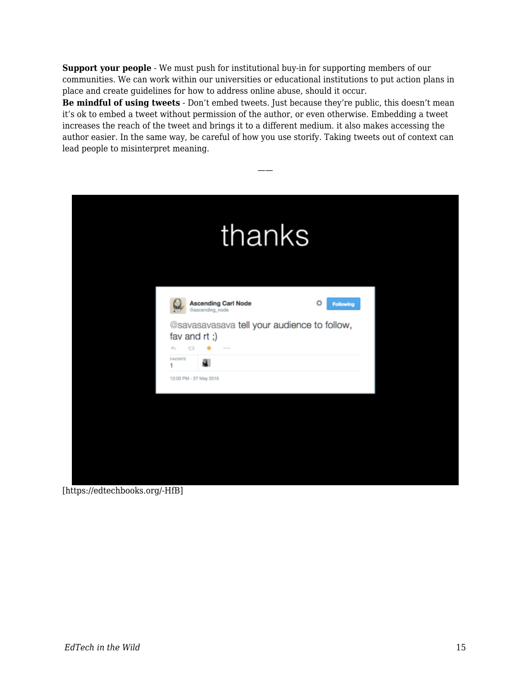**Support your people** - We must push for institutional buy-in for supporting members of our communities. We can work within our universities or educational institutions to put action plans in place and create guidelines for how to address online abuse, should it occur.

**Be mindful of using tweets** - Don't embed tweets. Just because they're public, this doesn't mean it's ok to embed a tweet without permission of the author, or even otherwise. Embedding a tweet increases the reach of the tweet and brings it to a different medium. it also makes accessing the author easier. In the same way, be careful of how you use storify. Taking tweets out of context can lead people to misinterpret meaning.

| thanks                                                                                                                                                                  |                       |
|-------------------------------------------------------------------------------------------------------------------------------------------------------------------------|-----------------------|
| <b>Ascending Carl Node</b><br>@ascending_node<br>@savasavasava tell your audience to follow,<br>fav and rt;)<br>17<br>$\star$<br>÷.<br>$-20.46$<br><b>FAVORITE</b><br>Я | 貴<br><b>Following</b> |
| ۹<br>12:03 PM - 27 May 2015                                                                                                                                             |                       |

[https://edtechbooks.org/-HfB]